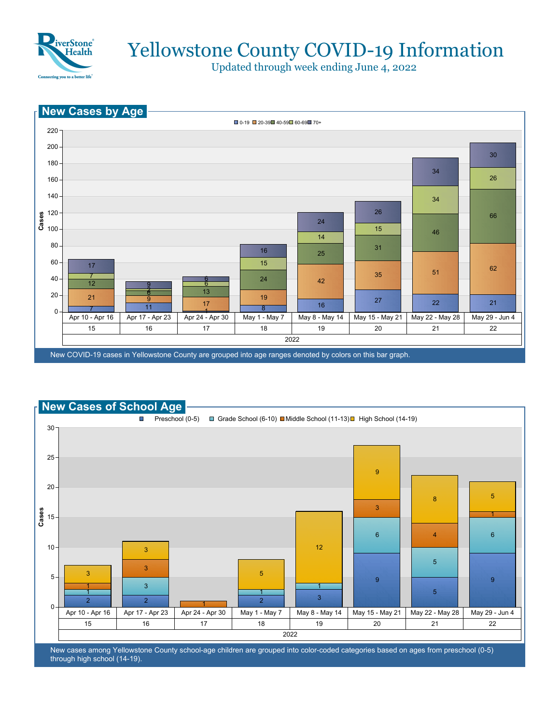

Updated through week ending June 4, 2022





New cases among Yellowstone County school-age children are grouped into color-coded categories based on ages from preschool (0-5) through high school (14-19).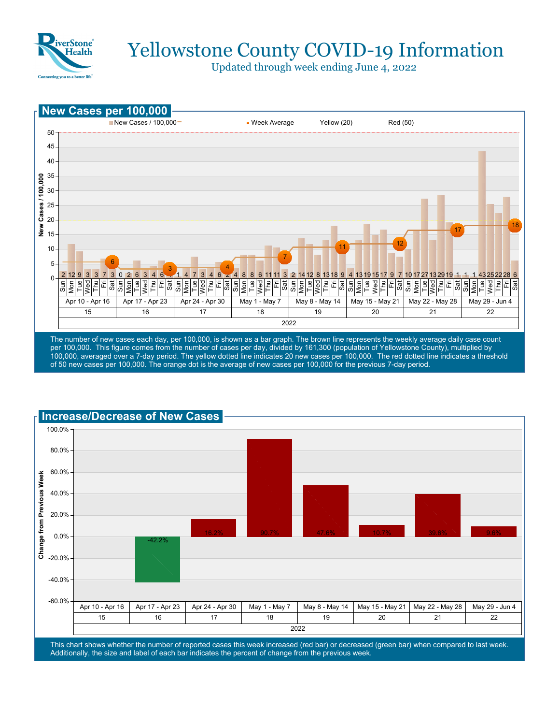

Updated through week ending June 4, 2022



per 100,000. This figure comes from the number of cases per day, divided by 161,300 (population of Yellowstone County), multiplied by 100,000, averaged over a 7-day period. The yellow dotted line indicates 20 new cases per 100,000. The red dotted line indicates a threshold of 50 new cases per 100,000. The orange dot is the average of new cases per 100,000 for the previous 7-day period.



This chart shows whether the number of reported cases this week increased (red bar) or decreased (green bar) when compared to last week. Additionally, the size and label of each bar indicates the percent of change from the previous week.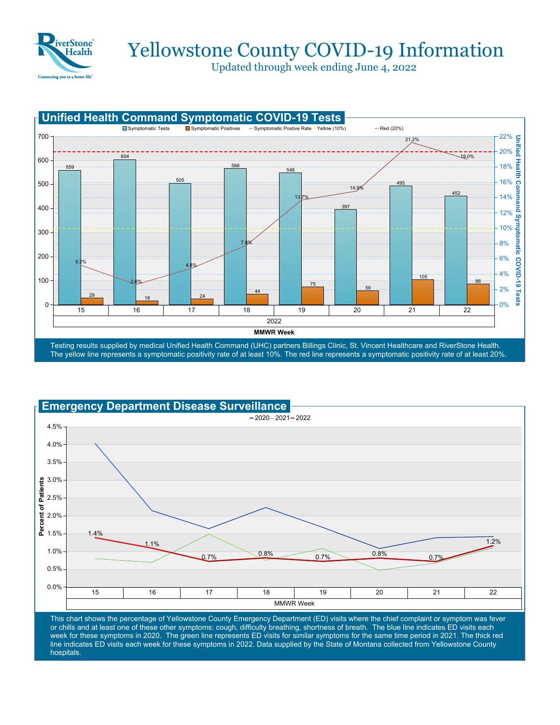

Updated through week ending June 4, 2022





This chart shows the percentage of Yellowstone County Emergency Department (ED) visits where the chief complaint or symptom was fever or chills and at least one of these other symptoms: cough, difficulty breathing, shortness of breath. The blue line indicates ED visits each week for these symptoms in 2020. The green line represents ED visits for similar symptoms for the same time period in 2021. The thick red line indicates ED visits each week for these symptoms in 2022. Data supplied by the State of Montana collected from Yellowstone County hospitals.